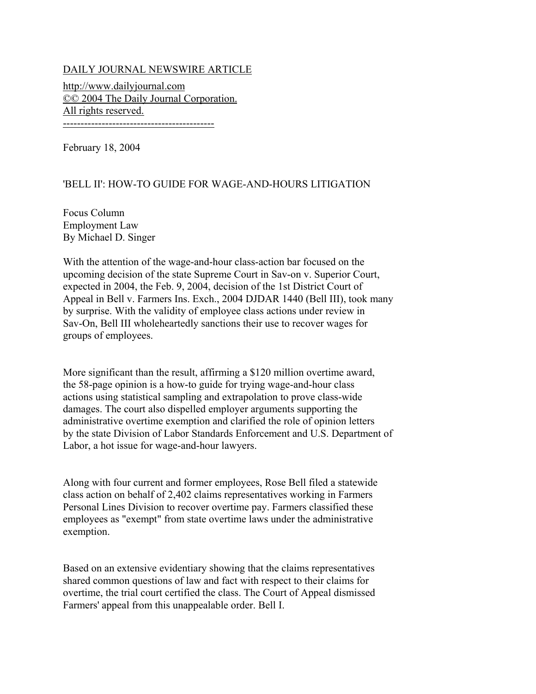## DAILY JOURNAL NEWSWIRE ARTICLE

http://www.dailyjournal.com ©© 2004 The Daily Journal Corporation. All rights reserved. -------------------------------------------

February 18, 2004

## 'BELL II': HOW-TO GUIDE FOR WAGE-AND-HOURS LITIGATION

Focus Column Employment Law By Michael D. Singer

With the attention of the wage-and-hour class-action bar focused on the upcoming decision of the state Supreme Court in Sav-on v. Superior Court, expected in 2004, the Feb. 9, 2004, decision of the 1st District Court of Appeal in Bell v. Farmers Ins. Exch., 2004 DJDAR 1440 (Bell III), took many by surprise. With the validity of employee class actions under review in Sav-On, Bell III wholeheartedly sanctions their use to recover wages for groups of employees.

More significant than the result, affirming a \$120 million overtime award, the 58-page opinion is a how-to guide for trying wage-and-hour class actions using statistical sampling and extrapolation to prove class-wide damages. The court also dispelled employer arguments supporting the administrative overtime exemption and clarified the role of opinion letters by the state Division of Labor Standards Enforcement and U.S. Department of Labor, a hot issue for wage-and-hour lawyers.

Along with four current and former employees, Rose Bell filed a statewide class action on behalf of 2,402 claims representatives working in Farmers Personal Lines Division to recover overtime pay. Farmers classified these employees as "exempt" from state overtime laws under the administrative exemption.

Based on an extensive evidentiary showing that the claims representatives shared common questions of law and fact with respect to their claims for overtime, the trial court certified the class. The Court of Appeal dismissed Farmers' appeal from this unappealable order. Bell I.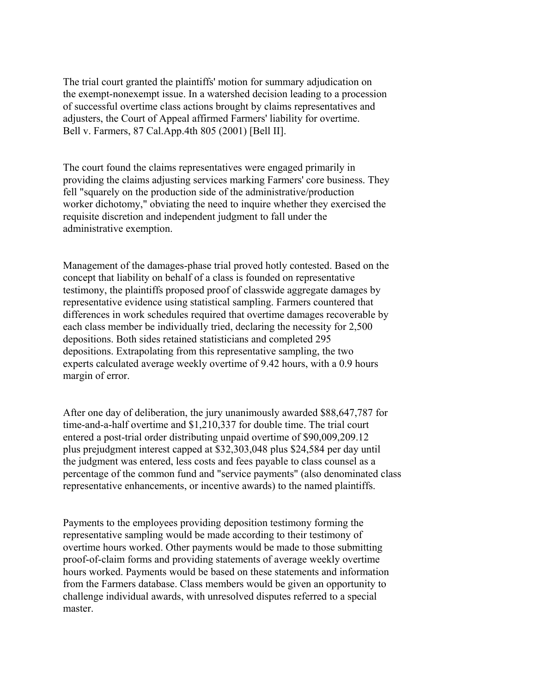The trial court granted the plaintiffs' motion for summary adjudication on the exempt-nonexempt issue. In a watershed decision leading to a procession of successful overtime class actions brought by claims representatives and adjusters, the Court of Appeal affirmed Farmers' liability for overtime. Bell v. Farmers, 87 Cal.App.4th 805 (2001) [Bell II].

The court found the claims representatives were engaged primarily in providing the claims adjusting services marking Farmers' core business. They fell "squarely on the production side of the administrative/production worker dichotomy," obviating the need to inquire whether they exercised the requisite discretion and independent judgment to fall under the administrative exemption.

Management of the damages-phase trial proved hotly contested. Based on the concept that liability on behalf of a class is founded on representative testimony, the plaintiffs proposed proof of classwide aggregate damages by representative evidence using statistical sampling. Farmers countered that differences in work schedules required that overtime damages recoverable by each class member be individually tried, declaring the necessity for 2,500 depositions. Both sides retained statisticians and completed 295 depositions. Extrapolating from this representative sampling, the two experts calculated average weekly overtime of 9.42 hours, with a 0.9 hours margin of error.

After one day of deliberation, the jury unanimously awarded \$88,647,787 for time-and-a-half overtime and \$1,210,337 for double time. The trial court entered a post-trial order distributing unpaid overtime of \$90,009,209.12 plus prejudgment interest capped at \$32,303,048 plus \$24,584 per day until the judgment was entered, less costs and fees payable to class counsel as a percentage of the common fund and "service payments" (also denominated class representative enhancements, or incentive awards) to the named plaintiffs.

Payments to the employees providing deposition testimony forming the representative sampling would be made according to their testimony of overtime hours worked. Other payments would be made to those submitting proof-of-claim forms and providing statements of average weekly overtime hours worked. Payments would be based on these statements and information from the Farmers database. Class members would be given an opportunity to challenge individual awards, with unresolved disputes referred to a special master.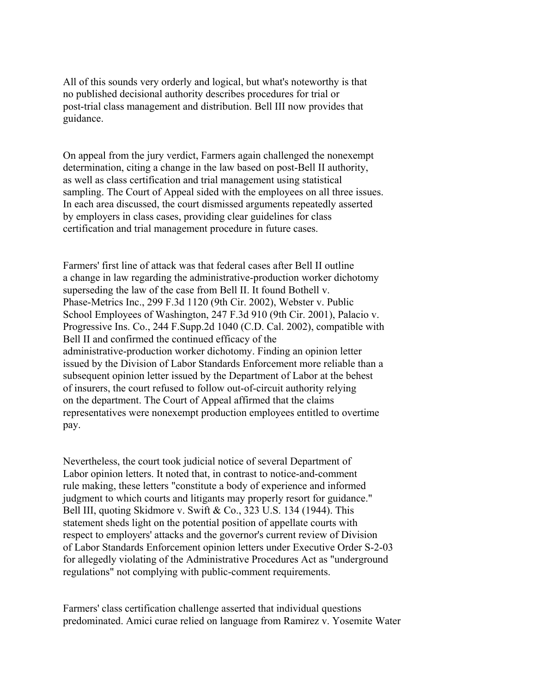All of this sounds very orderly and logical, but what's noteworthy is that no published decisional authority describes procedures for trial or post-trial class management and distribution. Bell III now provides that guidance.

On appeal from the jury verdict, Farmers again challenged the nonexempt determination, citing a change in the law based on post-Bell II authority, as well as class certification and trial management using statistical sampling. The Court of Appeal sided with the employees on all three issues. In each area discussed, the court dismissed arguments repeatedly asserted by employers in class cases, providing clear guidelines for class certification and trial management procedure in future cases.

Farmers' first line of attack was that federal cases after Bell II outline a change in law regarding the administrative-production worker dichotomy superseding the law of the case from Bell II. It found Bothell v. Phase-Metrics Inc., 299 F.3d 1120 (9th Cir. 2002), Webster v. Public School Employees of Washington, 247 F.3d 910 (9th Cir. 2001), Palacio v. Progressive Ins. Co., 244 F.Supp.2d 1040 (C.D. Cal. 2002), compatible with Bell II and confirmed the continued efficacy of the administrative-production worker dichotomy. Finding an opinion letter issued by the Division of Labor Standards Enforcement more reliable than a subsequent opinion letter issued by the Department of Labor at the behest of insurers, the court refused to follow out-of-circuit authority relying on the department. The Court of Appeal affirmed that the claims representatives were nonexempt production employees entitled to overtime pay.

Nevertheless, the court took judicial notice of several Department of Labor opinion letters. It noted that, in contrast to notice-and-comment rule making, these letters "constitute a body of experience and informed judgment to which courts and litigants may properly resort for guidance." Bell III, quoting Skidmore v. Swift & Co., 323 U.S. 134 (1944). This statement sheds light on the potential position of appellate courts with respect to employers' attacks and the governor's current review of Division of Labor Standards Enforcement opinion letters under Executive Order S-2-03 for allegedly violating of the Administrative Procedures Act as "underground regulations" not complying with public-comment requirements.

Farmers' class certification challenge asserted that individual questions predominated. Amici curae relied on language from Ramirez v. Yosemite Water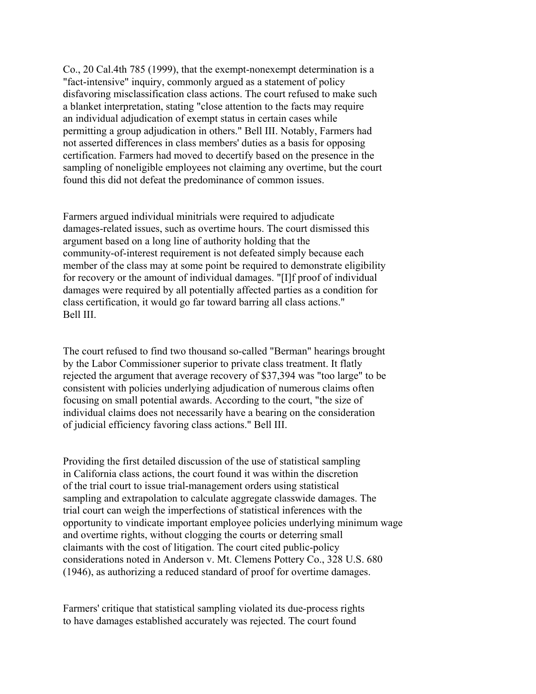Co., 20 Cal.4th 785 (1999), that the exempt-nonexempt determination is a "fact-intensive" inquiry, commonly argued as a statement of policy disfavoring misclassification class actions. The court refused to make such a blanket interpretation, stating "close attention to the facts may require an individual adjudication of exempt status in certain cases while permitting a group adjudication in others." Bell III. Notably, Farmers had not asserted differences in class members' duties as a basis for opposing certification. Farmers had moved to decertify based on the presence in the sampling of noneligible employees not claiming any overtime, but the court found this did not defeat the predominance of common issues.

Farmers argued individual minitrials were required to adjudicate damages-related issues, such as overtime hours. The court dismissed this argument based on a long line of authority holding that the community-of-interest requirement is not defeated simply because each member of the class may at some point be required to demonstrate eligibility for recovery or the amount of individual damages. "[I]f proof of individual damages were required by all potentially affected parties as a condition for class certification, it would go far toward barring all class actions." Bell III.

The court refused to find two thousand so-called "Berman" hearings brought by the Labor Commissioner superior to private class treatment. It flatly rejected the argument that average recovery of \$37,394 was "too large" to be consistent with policies underlying adjudication of numerous claims often focusing on small potential awards. According to the court, "the size of individual claims does not necessarily have a bearing on the consideration of judicial efficiency favoring class actions." Bell III.

Providing the first detailed discussion of the use of statistical sampling in California class actions, the court found it was within the discretion of the trial court to issue trial-management orders using statistical sampling and extrapolation to calculate aggregate classwide damages. The trial court can weigh the imperfections of statistical inferences with the opportunity to vindicate important employee policies underlying minimum wage and overtime rights, without clogging the courts or deterring small claimants with the cost of litigation. The court cited public-policy considerations noted in Anderson v. Mt. Clemens Pottery Co., 328 U.S. 680 (1946), as authorizing a reduced standard of proof for overtime damages.

Farmers' critique that statistical sampling violated its due-process rights to have damages established accurately was rejected. The court found